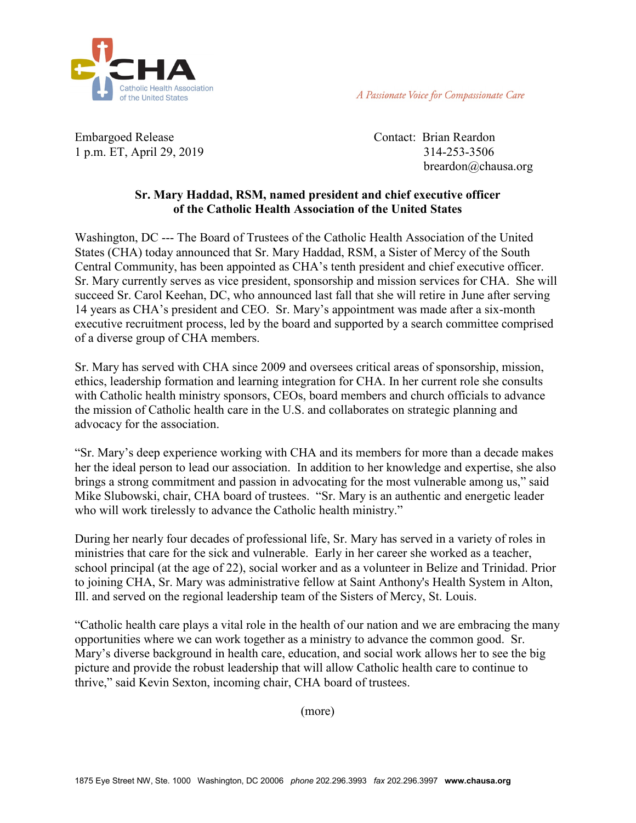

A Passionate Voice for Compassionate Care

Embargoed Release Contact: Brian Reardon 1 p.m. ET, April 29, 2019 314-253-3506

breardon@chausa.org

## **Sr. Mary Haddad, RSM, named president and chief executive officer of the Catholic Health Association of the United States**

Washington, DC --- The Board of Trustees of the Catholic Health Association of the United States (CHA) today announced that Sr. Mary Haddad, RSM, a Sister of Mercy of the South Central Community, has been appointed as CHA's tenth president and chief executive officer. Sr. Mary currently serves as vice president, sponsorship and mission services for CHA. She will succeed Sr. Carol Keehan, DC, who announced last fall that she will retire in June after serving 14 years as CHA's president and CEO. Sr. Mary's appointment was made after a six-month executive recruitment process, led by the board and supported by a search committee comprised of a diverse group of CHA members.

Sr. Mary has served with CHA since 2009 and oversees critical areas of sponsorship, mission, ethics, leadership formation and learning integration for CHA. In her current role she consults with Catholic health ministry sponsors, CEOs, board members and church officials to advance the mission of Catholic health care in the U.S. and collaborates on strategic planning and advocacy for the association.

"Sr. Mary's deep experience working with CHA and its members for more than a decade makes her the ideal person to lead our association. In addition to her knowledge and expertise, she also brings a strong commitment and passion in advocating for the most vulnerable among us," said Mike Slubowski, chair, CHA board of trustees. "Sr. Mary is an authentic and energetic leader who will work tirelessly to advance the Catholic health ministry."

During her nearly four decades of professional life, Sr. Mary has served in a variety of roles in ministries that care for the sick and vulnerable. Early in her career she worked as a teacher, school principal (at the age of 22), social worker and as a volunteer in Belize and Trinidad. Prior to joining CHA, Sr. Mary was administrative fellow at Saint Anthony's Health System in Alton, Ill. and served on the regional leadership team of the Sisters of Mercy, St. Louis.

"Catholic health care plays a vital role in the health of our nation and we are embracing the many opportunities where we can work together as a ministry to advance the common good. Sr. Mary's diverse background in health care, education, and social work allows her to see the big picture and provide the robust leadership that will allow Catholic health care to continue to thrive," said Kevin Sexton, incoming chair, CHA board of trustees.

(more)